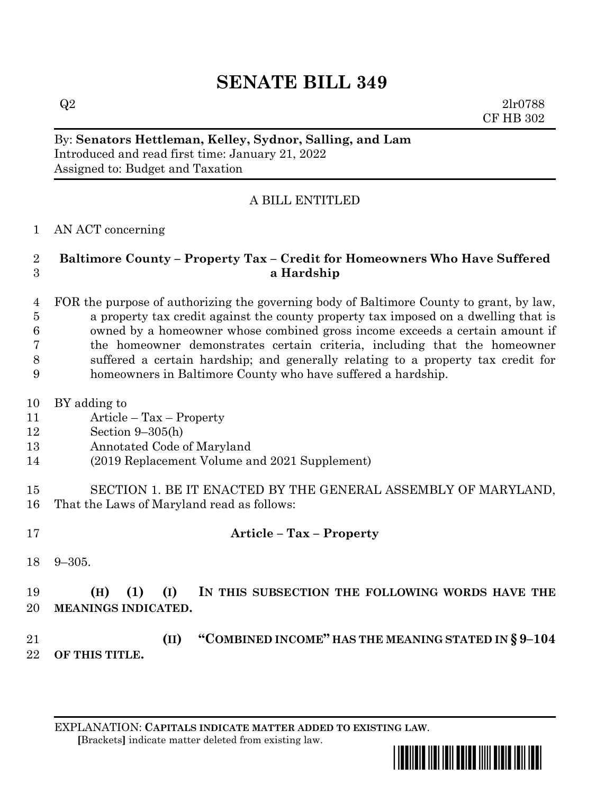# **SENATE BILL 349**

 $Q2 \t2l r0788$ CF HB 302

### By: **Senators Hettleman, Kelley, Sydnor, Salling, and Lam** Introduced and read first time: January 21, 2022 Assigned to: Budget and Taxation

# A BILL ENTITLED

### AN ACT concerning

### **Baltimore County – Property Tax – Credit for Homeowners Who Have Suffered a Hardship**

 FOR the purpose of authorizing the governing body of Baltimore County to grant, by law, a property tax credit against the county property tax imposed on a dwelling that is owned by a homeowner whose combined gross income exceeds a certain amount if the homeowner demonstrates certain criteria, including that the homeowner suffered a certain hardship; and generally relating to a property tax credit for homeowners in Baltimore County who have suffered a hardship.

- BY adding to
- Article Tax Property
- Section 9–305(h)
- Annotated Code of Maryland
- (2019 Replacement Volume and 2021 Supplement)
- SECTION 1. BE IT ENACTED BY THE GENERAL ASSEMBLY OF MARYLAND, That the Laws of Maryland read as follows:
- 

# **Article – Tax – Property**

9–305.

# **(H) (1) (I) IN THIS SUBSECTION THE FOLLOWING WORDS HAVE THE MEANINGS INDICATED.**

 **(II) "COMBINED INCOME" HAS THE MEANING STATED IN § 9–104 OF THIS TITLE.**

EXPLANATION: **CAPITALS INDICATE MATTER ADDED TO EXISTING LAW**.  **[**Brackets**]** indicate matter deleted from existing law.

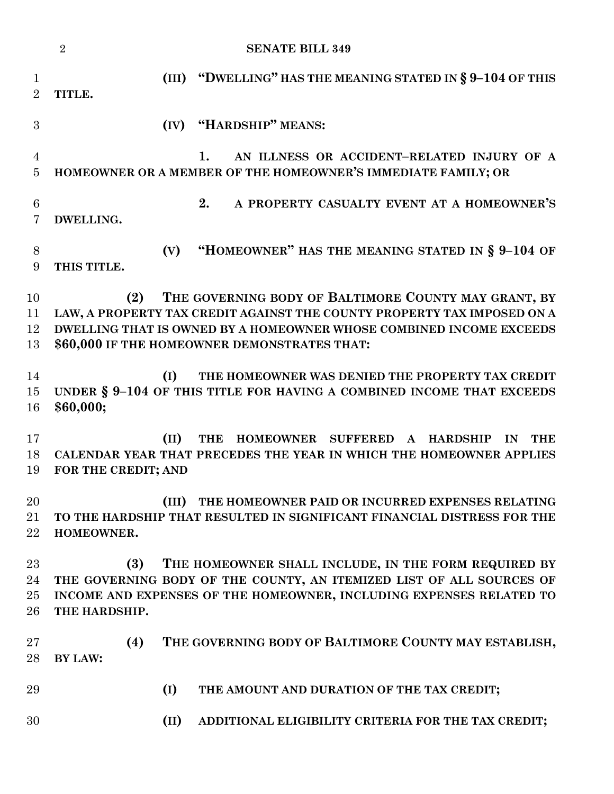|                               | $\overline{2}$<br><b>SENATE BILL 349</b>                                                                                                                                                                                                                      |
|-------------------------------|---------------------------------------------------------------------------------------------------------------------------------------------------------------------------------------------------------------------------------------------------------------|
| $\mathbf 1$<br>$\overline{2}$ | "DWELLING" HAS THE MEANING STATED IN § 9-104 OF THIS<br>(III)<br>TITLE.                                                                                                                                                                                       |
| 3                             | "HARDSHIP" MEANS:<br>(IV)                                                                                                                                                                                                                                     |
| $\overline{4}$<br>5           | AN ILLNESS OR ACCIDENT-RELATED INJURY OF A<br>1.<br>HOMEOWNER OR A MEMBER OF THE HOMEOWNER'S IMMEDIATE FAMILY; OR                                                                                                                                             |
| $6\phantom{.}6$<br>7          | 2.<br>A PROPERTY CASUALTY EVENT AT A HOMEOWNER'S<br>DWELLING.                                                                                                                                                                                                 |
| 8<br>9                        | "HOMEOWNER" HAS THE MEANING STATED IN § 9-104 OF<br>(V)<br>THIS TITLE.                                                                                                                                                                                        |
| 10<br>11<br>12<br>13          | THE GOVERNING BODY OF BALTIMORE COUNTY MAY GRANT, BY<br>(2)<br>LAW, A PROPERTY TAX CREDIT AGAINST THE COUNTY PROPERTY TAX IMPOSED ON A<br>DWELLING THAT IS OWNED BY A HOMEOWNER WHOSE COMBINED INCOME EXCEEDS<br>\$60,000 IF THE HOMEOWNER DEMONSTRATES THAT: |
| 14<br>15<br>16                | THE HOMEOWNER WAS DENIED THE PROPERTY TAX CREDIT<br>(I)<br>UNDER § 9-104 OF THIS TITLE FOR HAVING A COMBINED INCOME THAT EXCEEDS<br>\$60,000;                                                                                                                 |
| 17<br>18<br>19                | (II)<br><b>THE</b><br>HOMEOWNER SUFFERED A<br><b>HARDSHIP</b><br>IN<br><b>THE</b><br>CALENDAR YEAR THAT PRECEDES THE YEAR IN WHICH THE HOMEOWNER APPLIES<br>FOR THE CREDIT; AND                                                                               |
| 20<br>21<br>22                | THE HOMEOWNER PAID OR INCURRED EXPENSES RELATING<br>(III)<br>TO THE HARDSHIP THAT RESULTED IN SIGNIFICANT FINANCIAL DISTRESS FOR THE<br>HOMEOWNER.                                                                                                            |
| 23<br>24<br>$25\,$<br>26      | (3)<br>THE HOMEOWNER SHALL INCLUDE, IN THE FORM REQUIRED BY<br>THE GOVERNING BODY OF THE COUNTY, AN ITEMIZED LIST OF ALL SOURCES OF<br>INCOME AND EXPENSES OF THE HOMEOWNER, INCLUDING EXPENSES RELATED TO<br>THE HARDSHIP.                                   |
| $27\,$<br>28                  | THE GOVERNING BODY OF BALTIMORE COUNTY MAY ESTABLISH,<br>(4)<br><b>BY LAW:</b>                                                                                                                                                                                |
| 29                            | (I)<br>THE AMOUNT AND DURATION OF THE TAX CREDIT;                                                                                                                                                                                                             |
| 30                            | (II)<br>ADDITIONAL ELIGIBILITY CRITERIA FOR THE TAX CREDIT;                                                                                                                                                                                                   |